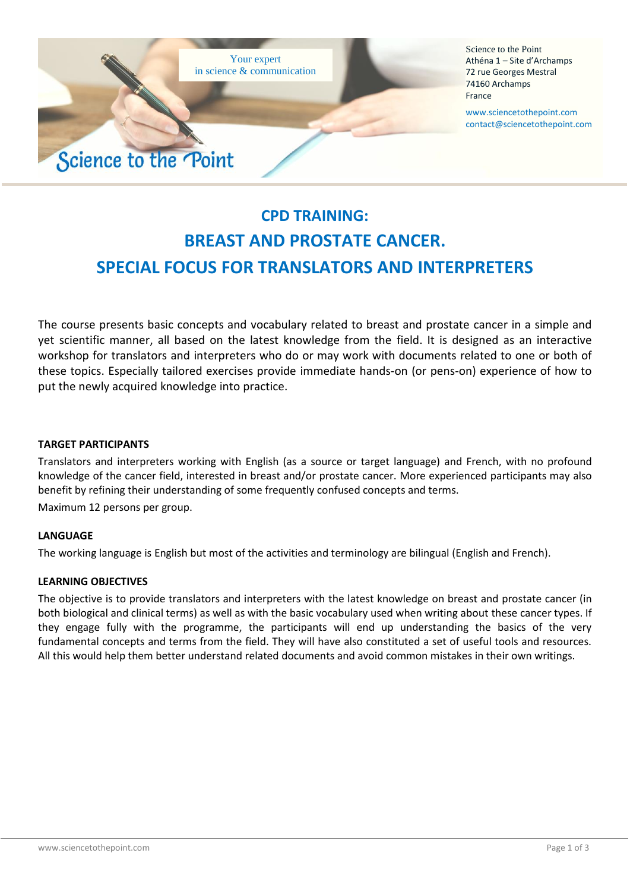

Science to the Point Athéna 1 – Site d'Archamps 72 rue Georges Mestral 74160 Archamps France

www.sciencetothepoint.com contact@sciencetothepoint.com

# **CPD TRAINING: BREAST AND PROSTATE CANCER. SPECIAL FOCUS FOR TRANSLATORS AND INTERPRETERS**

The course presents basic concepts and vocabulary related to breast and prostate cancer in a simple and yet scientific manner, all based on the latest knowledge from the field. It is designed as an interactive workshop for translators and interpreters who do or may work with documents related to one or both of these topics. Especially tailored exercises provide immediate hands-on (or pens-on) experience of how to put the newly acquired knowledge into practice.

### **TARGET PARTICIPANTS**

Translators and interpreters working with English (as a source or target language) and French, with no profound knowledge of the cancer field, interested in breast and/or prostate cancer. More experienced participants may also benefit by refining their understanding of some frequently confused concepts and terms.

Maximum 12 persons per group.

#### **LANGUAGE**

The working language is English but most of the activities and terminology are bilingual (English and French).

#### **LEARNING OBJECTIVES**

The objective is to provide translators and interpreters with the latest knowledge on breast and prostate cancer (in both biological and clinical terms) as well as with the basic vocabulary used when writing about these cancer types. If they engage fully with the programme, the participants will end up understanding the basics of the very fundamental concepts and terms from the field. They will have also constituted a set of useful tools and resources. All this would help them better understand related documents and avoid common mistakes in their own writings.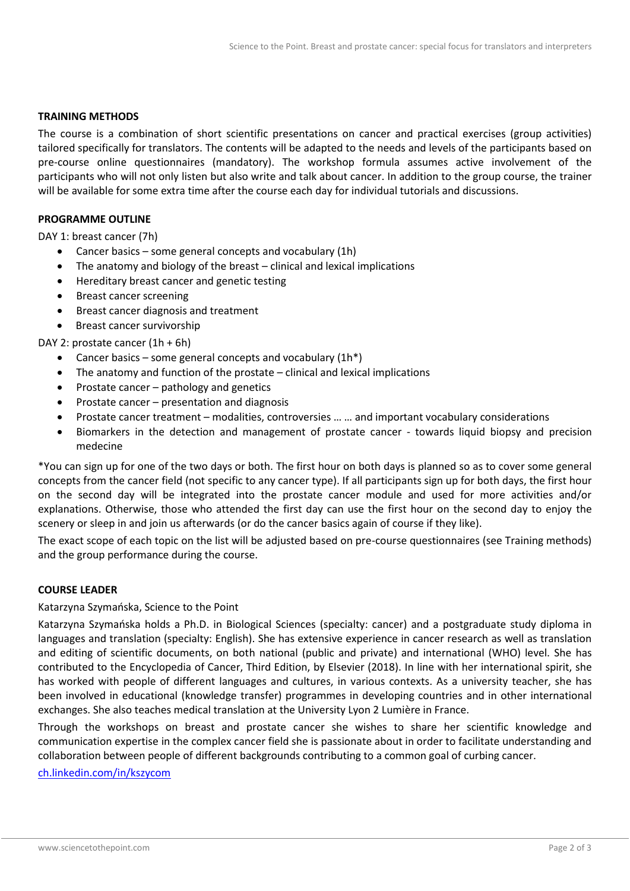#### **TRAINING METHODS**

The course is a combination of short scientific presentations on cancer and practical exercises (group activities) tailored specifically for translators. The contents will be adapted to the needs and levels of the participants based on pre-course online questionnaires (mandatory). The workshop formula assumes active involvement of the participants who will not only listen but also write and talk about cancer. In addition to the group course, the trainer will be available for some extra time after the course each day for individual tutorials and discussions.

#### **PROGRAMME OUTLINE**

DAY 1: breast cancer (7h)

- Cancer basics some general concepts and vocabulary (1h)
- The anatomy and biology of the breast clinical and lexical implications
- Hereditary breast cancer and genetic testing
- Breast cancer screening
- Breast cancer diagnosis and treatment
- Breast cancer survivorship

#### DAY 2: prostate cancer (1h + 6h)

- Cancer basics some general concepts and vocabulary  $(1h^*)$
- The anatomy and function of the prostate clinical and lexical implications
- Prostate cancer pathology and genetics
- Prostate cancer presentation and diagnosis
- Prostate cancer treatment modalities, controversies … … and important vocabulary considerations
- Biomarkers in the detection and management of prostate cancer towards liquid biopsy and precision medecine

\*You can sign up for one of the two days or both. The first hour on both days is planned so as to cover some general concepts from the cancer field (not specific to any cancer type). If all participants sign up for both days, the first hour on the second day will be integrated into the prostate cancer module and used for more activities and/or explanations. Otherwise, those who attended the first day can use the first hour on the second day to enjoy the scenery or sleep in and join us afterwards (or do the cancer basics again of course if they like).

The exact scope of each topic on the list will be adjusted based on pre-course questionnaires (see Training methods) and the group performance during the course.

#### **COURSE LEADER**

#### Katarzyna Szymańska, Science to the Point

Katarzyna Szymańska holds a Ph.D. in Biological Sciences (specialty: cancer) and a postgraduate study diploma in languages and translation (specialty: English). She has extensive experience in cancer research as well as translation and editing of scientific documents, on both national (public and private) and international (WHO) level. She has contributed to the Encyclopedia of Cancer, Third Edition, by Elsevier (2018). In line with her international spirit, she has worked with people of different languages and cultures, in various contexts. As a university teacher, she has been involved in educational (knowledge transfer) programmes in developing countries and in other international exchanges. She also teaches medical translation at the University Lyon 2 Lumière in France.

Through the workshops on breast and prostate cancer she wishes to share her scientific knowledge and communication expertise in the complex cancer field she is passionate about in order to facilitate understanding and collaboration between people of different backgrounds contributing to a common goal of curbing cancer.

<ch.linkedin.com/in/kszycom>